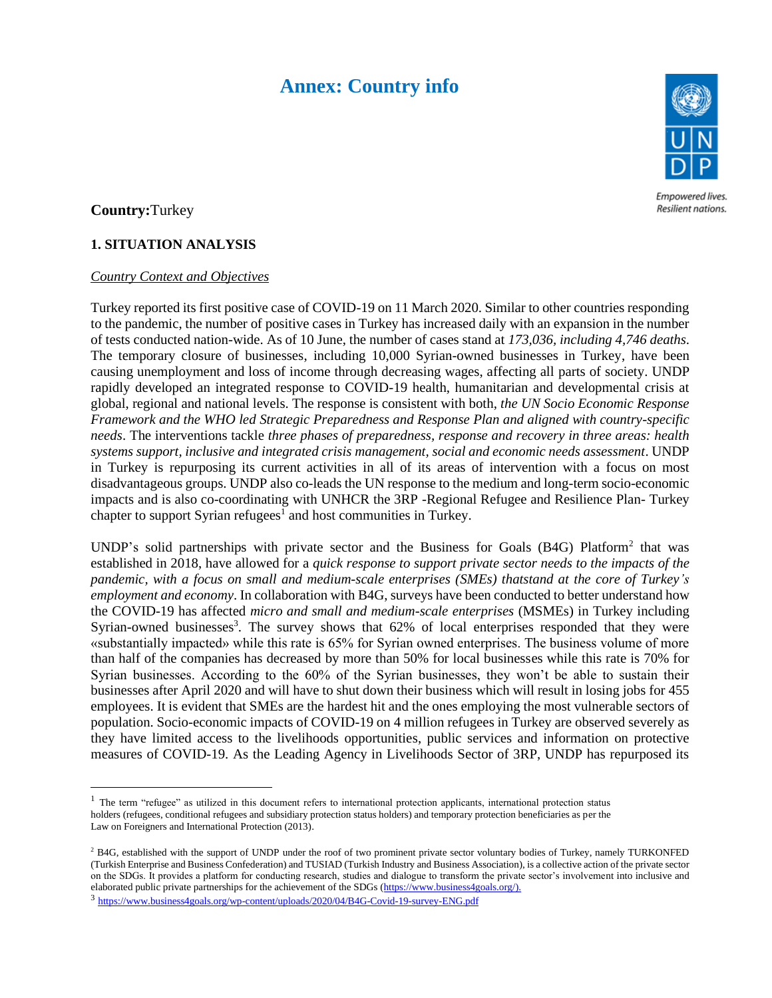# **Annex: Country info**



Empowered lives. Resilient nations.

## **Country:**Turkey

## **1. SITUATION ANALYSIS**

#### *Country Context and Objectives*

Turkey reported its first positive case of COVID-19 on 11 March 2020. Similar to other countries responding to the pandemic, the number of positive cases in Turkey has increased daily with an expansion in the number of tests conducted nation-wide. As of 10 June, the number of cases stand at *173,036, including 4,746 deaths*. The temporary closure of businesses, including 10,000 Syrian-owned businesses in Turkey, have been causing unemployment and loss of income through decreasing wages, affecting all parts of society. UNDP rapidly developed an integrated response to COVID-19 health, humanitarian and developmental crisis at global, regional and national levels. The response is consistent with both, *the UN Socio Economic Response Framework and the WHO led Strategic Preparedness and Response Plan and aligned with country-specific needs*. The interventions tackle *three phases of preparedness, response and recovery in three areas: health systems support, inclusive and integrated crisis management, social and economic needs assessment*. UNDP in Turkey is repurposing its current activities in all of its areas of intervention with a focus on most disadvantageous groups. UNDP also co-leads the UN response to the medium and long-term socio-economic impacts and is also co-coordinating with UNHCR the 3RP -Regional Refugee and Resilience Plan- Turkey chapter to support Syrian refugees<sup>1</sup> and host communities in Turkey.

UNDP's solid partnerships with private sector and the Business for Goals (B4G) Platform<sup>2</sup> that was established in 2018, have allowed for a *quick response to support private sector needs to the impacts of the pandemic, with a focus on small and medium-scale enterprises (SMEs) thatstand at the core of Turkey's employment and economy*. In collaboration with B4G, surveys have been conducted to better understand how the COVID-19 has affected *micro and small and medium-scale enterprises* (MSMEs) in Turkey including Syrian-owned businesses<sup>3</sup>. The survey shows that  $62\%$  of local enterprises responded that they were «substantially impacted» while this rate is 65% for Syrian owned enterprises. The business volume of more than half of the companies has decreased by more than 50% for local businesses while this rate is 70% for Syrian businesses. According to the 60% of the Syrian businesses, they won't be able to sustain their businesses after April 2020 and will have to shut down their business which will result in losing jobs for 455 employees. It is evident that SMEs are the hardest hit and the ones employing the most vulnerable sectors of population. Socio-economic impacts of COVID-19 on 4 million refugees in Turkey are observed severely as they have limited access to the livelihoods opportunities, public services and information on protective measures of COVID-19. As the Leading Agency in Livelihoods Sector of 3RP, UNDP has repurposed its

<sup>3</sup> https://www.business4goals.org/wp-content/uploads/2020/04/B4G-Covid-19-survey-ENG.pdf

<sup>&</sup>lt;sup>1</sup> The term "refugee" as utilized in this document refers to international protection applicants, international protection status holders (refugees, conditional refugees and subsidiary protection status holders) and temporary protection beneficiaries as per the Law on Foreigners and International Protection (2013).

<sup>&</sup>lt;sup>2</sup> B4G, established with the support of UNDP under the roof of two prominent private sector voluntary bodies of Turkey, namely TURKONFED (Turkish Enterprise and Business Confederation) and TUSIAD (Turkish Industry and Business Association), is a collective action of the private sector on the SDGs. It provides a platform for conducting research, studies and dialogue to transform the private sector's involvement into inclusive and elaborated public private partnerships for the achievement of the SDGs (https://www.business4goals.org/).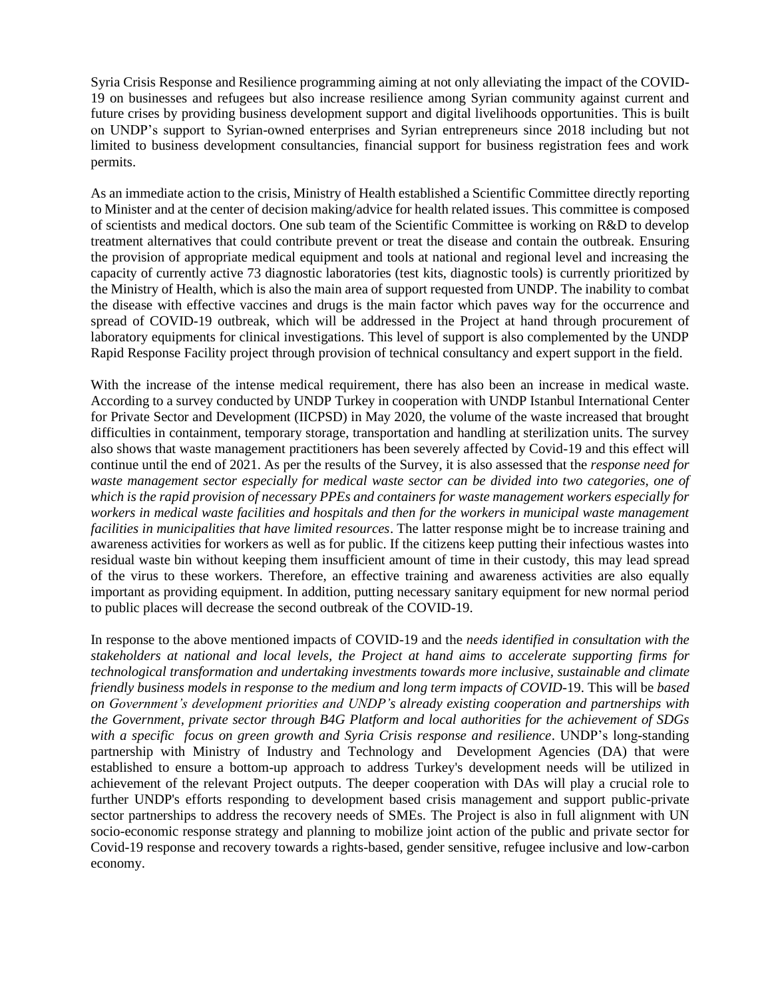Syria Crisis Response and Resilience programming aiming at not only alleviating the impact of the COVID-19 on businesses and refugees but also increase resilience among Syrian community against current and future crises by providing business development support and digital livelihoods opportunities. This is built on UNDP's support to Syrian-owned enterprises and Syrian entrepreneurs since 2018 including but not limited to business development consultancies, financial support for business registration fees and work permits.

As an immediate action to the crisis, Ministry of Health established a Scientific Committee directly reporting to Minister and at the center of decision making/advice for health related issues. This committee is composed of scientists and medical doctors. One sub team of the Scientific Committee is working on R&D to develop treatment alternatives that could contribute prevent or treat the disease and contain the outbreak. Ensuring the provision of appropriate medical equipment and tools at national and regional level and increasing the capacity of currently active 73 diagnostic laboratories (test kits, diagnostic tools) is currently prioritized by the Ministry of Health, which is also the main area of support requested from UNDP. The inability to combat the disease with effective vaccines and drugs is the main factor which paves way for the occurrence and spread of COVID-19 outbreak, which will be addressed in the Project at hand through procurement of laboratory equipments for clinical investigations. This level of support is also complemented by the UNDP Rapid Response Facility project through provision of technical consultancy and expert support in the field.

With the increase of the intense medical requirement, there has also been an increase in medical waste. According to a survey conducted by UNDP Turkey in cooperation with UNDP Istanbul International Center for Private Sector and Development (IICPSD) in May 2020, the volume of the waste increased that brought difficulties in containment, temporary storage, transportation and handling at sterilization units. The survey also shows that waste management practitioners has been severely affected by Covid-19 and this effect will continue until the end of 2021. As per the results of the Survey, it is also assessed that the *response need for waste management sector especially for medical waste sector can be divided into two categories, one of which is the rapid provision of necessary PPEs and containers for waste management workers especially for workers in medical waste facilities and hospitals and then for the workers in municipal waste management facilities in municipalities that have limited resources*. The latter response might be to increase training and awareness activities for workers as well as for public. If the citizens keep putting their infectious wastes into residual waste bin without keeping them insufficient amount of time in their custody, this may lead spread of the virus to these workers. Therefore, an effective training and awareness activities are also equally important as providing equipment. In addition, putting necessary sanitary equipment for new normal period to public places will decrease the second outbreak of the COVID-19.

In response to the above mentioned impacts of COVID-19 and the *needs identified in consultation with the stakeholders at national and local levels, the Project at hand aims to accelerate supporting firms for technological transformation and undertaking investments towards more inclusive, sustainable and climate friendly business models in response to the medium and long term impacts of COVID*-19. This will be *based on Government's development priorities and UNDP's already existing cooperation and partnerships with the Government, private sector through B4G Platform and local authorities for the achievement of SDGs with a specific focus on green growth and Syria Crisis response and resilience*. UNDP's long-standing partnership with Ministry of Industry and Technology and Development Agencies (DA) that were established to ensure a bottom-up approach to address Turkey's development needs will be utilized in achievement of the relevant Project outputs. The deeper cooperation with DAs will play a crucial role to further UNDP's efforts responding to development based crisis management and support public-private sector partnerships to address the recovery needs of SMEs. The Project is also in full alignment with UN socio-economic response strategy and planning to mobilize joint action of the public and private sector for Covid-19 response and recovery towards a rights-based, gender sensitive, refugee inclusive and low-carbon economy.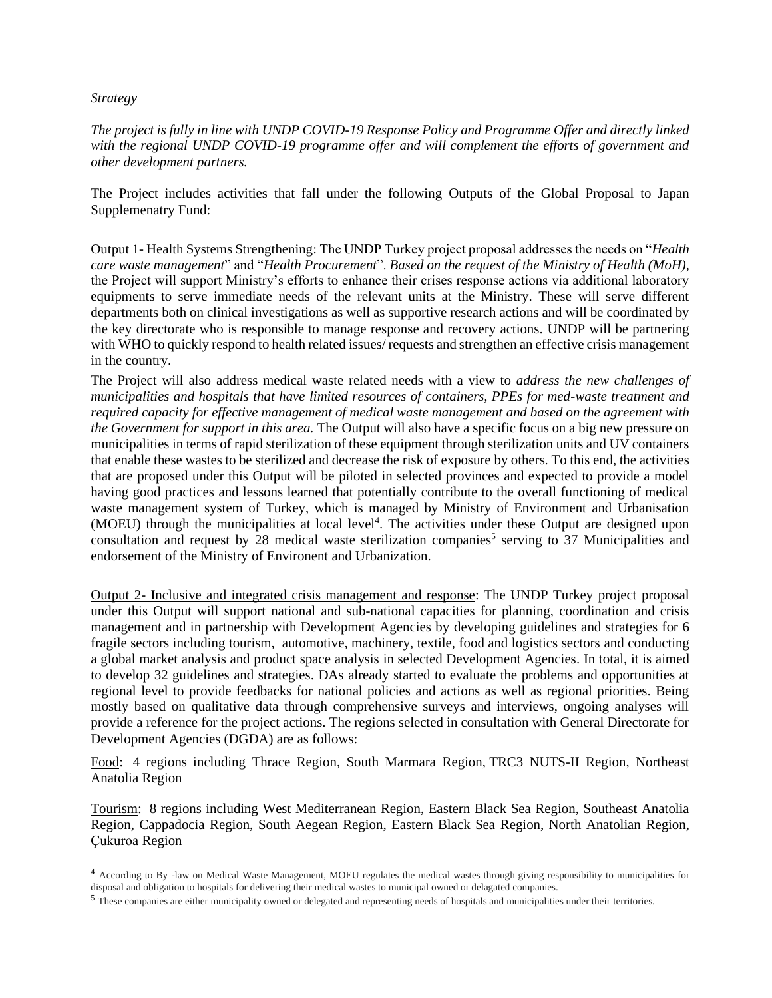#### *Strategy*

*The project is fully in line with UNDP COVID-19 Response Policy and Programme Offer and directly linked with the regional UNDP COVID-19 programme offer and will complement the efforts of government and other development partners.* 

The Project includes activities that fall under the following Outputs of the Global Proposal to Japan Supplemenatry Fund:

Output 1- Health Systems Strengthening: The UNDP Turkey project proposal addresses the needs on "*Health care waste management*" and "*Health Procurement*". *Based on the request of the Ministry of Health (MoH),* the Project will support Ministry's efforts to enhance their crises response actions via additional laboratory equipments to serve immediate needs of the relevant units at the Ministry. These will serve different departments both on clinical investigations as well as supportive research actions and will be coordinated by the key directorate who is responsible to manage response and recovery actions. UNDP will be partnering with WHO to quickly respond to health related issues/ requests and strengthen an effective crisis management in the country.

The Project will also address medical waste related needs with a view to *address the new challenges of municipalities and hospitals that have limited resources of containers, PPEs for med-waste treatment and required capacity for effective management of medical waste management and based on the agreement with the Government for support in this area.* The Output will also have a specific focus on a big new pressure on municipalities in terms of rapid sterilization of these equipment through sterilization units and UV containers that enable these wastes to be sterilized and decrease the risk of exposure by others. To this end, the activities that are proposed under this Output will be piloted in selected provinces and expected to provide a model having good practices and lessons learned that potentially contribute to the overall functioning of medical waste management system of Turkey, which is managed by Ministry of Environment and Urbanisation (MOEU) through the municipalities at local level<sup>4</sup>. The activities under these Output are designed upon consultation and request by 28 medical waste sterilization companies<sup>5</sup> serving to 37 Municipalities and endorsement of the Ministry of Environent and Urbanization.

Output 2- Inclusive and integrated crisis management and response: The UNDP Turkey project proposal under this Output will support national and sub-national capacities for planning, coordination and crisis management and in partnership with Development Agencies by developing guidelines and strategies for 6 fragile sectors including tourism, automotive, machinery, textile, food and logistics sectors and conducting a global market analysis and product space analysis in selected Development Agencies. In total, it is aimed to develop 32 guidelines and strategies. DAs already started to evaluate the problems and opportunities at regional level to provide feedbacks for national policies and actions as well as regional priorities. Being mostly based on qualitative data through comprehensive surveys and interviews, ongoing analyses will provide a reference for the project actions. The regions selected in consultation with General Directorate for Development Agencies (DGDA) are as follows:

Food: 4 regions including Thrace Region, South Marmara Region, TRC3 NUTS-II Region, Northeast Anatolia Region

Tourism: 8 regions including West Mediterranean Region, Eastern Black Sea Region, Southeast Anatolia Region, Cappadocia Region, South Aegean Region, Eastern Black Sea Region, North Anatolian Region, Çukuroa Region

<sup>4</sup> According to By -law on Medical Waste Management, MOEU regulates the medical wastes through giving responsibility to municipalities for disposal and obligation to hospitals for delivering their medical wastes to municipal owned or delagated companies.

<sup>5</sup> These companies are either municipality owned or delegated and representing needs of hospitals and municipalities under their territories.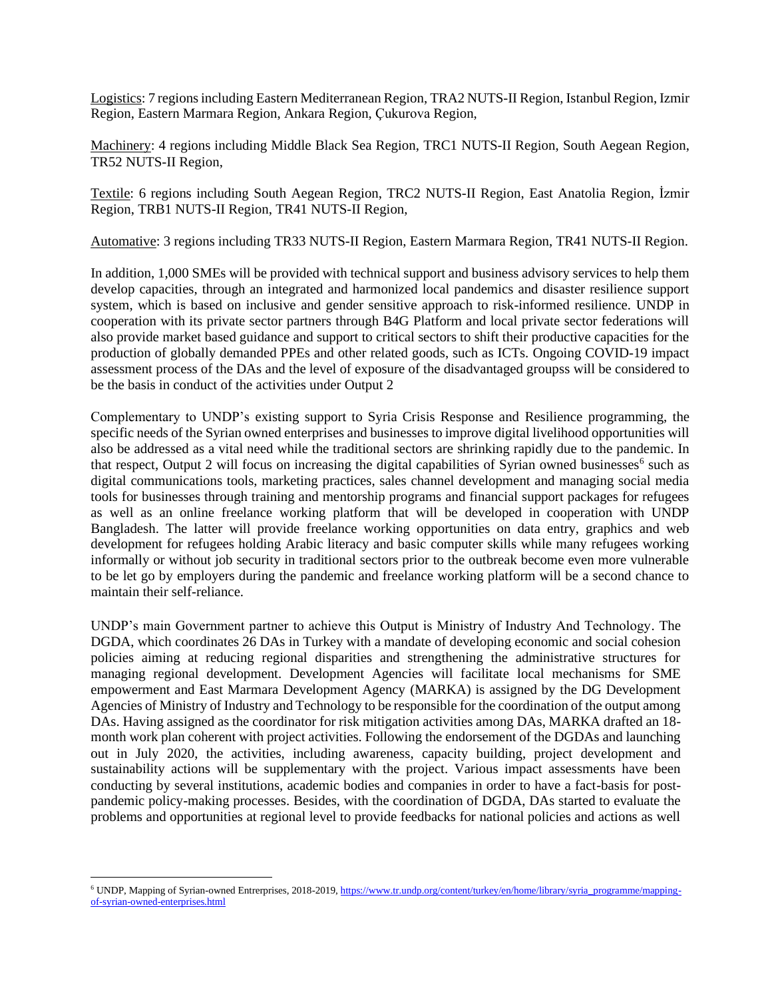Logistics: 7 regions including Eastern Mediterranean Region, TRA2 NUTS-II Region, Istanbul Region, Izmir Region, Eastern Marmara Region, Ankara Region, Çukurova Region,

Machinery: 4 regions including Middle Black Sea Region, TRC1 NUTS-II Region, South Aegean Region, TR52 NUTS-II Region,

Textile: 6 regions including South Aegean Region, TRC2 NUTS-II Region, East Anatolia Region, İzmir Region, TRB1 NUTS-II Region, TR41 NUTS-II Region,

Automative: 3 regions including TR33 NUTS-II Region, Eastern Marmara Region, TR41 NUTS-II Region.

In addition, 1,000 SMEs will be provided with technical support and business advisory services to help them develop capacities, through an integrated and harmonized local pandemics and disaster resilience support system, which is based on inclusive and gender sensitive approach to risk-informed resilience. UNDP in cooperation with its private sector partners through B4G Platform and local private sector federations will also provide market based guidance and support to critical sectors to shift their productive capacities for the production of globally demanded PPEs and other related goods, such as ICTs. Ongoing COVID-19 impact assessment process of the DAs and the level of exposure of the disadvantaged groupss will be considered to be the basis in conduct of the activities under Output 2

Complementary to UNDP's existing support to Syria Crisis Response and Resilience programming, the specific needs of the Syrian owned enterprises and businesses to improve digital livelihood opportunities will also be addressed as a vital need while the traditional sectors are shrinking rapidly due to the pandemic. In that respect, Output 2 will focus on increasing the digital capabilities of Syrian owned businesses<sup>6</sup> such as digital communications tools, marketing practices, sales channel development and managing social media tools for businesses through training and mentorship programs and financial support packages for refugees as well as an online freelance working platform that will be developed in cooperation with UNDP Bangladesh. The latter will provide freelance working opportunities on data entry, graphics and web development for refugees holding Arabic literacy and basic computer skills while many refugees working informally or without job security in traditional sectors prior to the outbreak become even more vulnerable to be let go by employers during the pandemic and freelance working platform will be a second chance to maintain their self-reliance.

UNDP's main Government partner to achieve this Output is Ministry of Industry And Technology. The DGDA, which coordinates 26 DAs in Turkey with a mandate of developing economic and social cohesion policies aiming at reducing regional disparities and strengthening the administrative structures for managing regional development. Development Agencies will facilitate local mechanisms for SME empowerment and East Marmara Development Agency (MARKA) is assigned by the DG Development Agencies of Ministry of Industry and Technology to be responsible for the coordination of the output among DAs. Having assigned as the coordinator for risk mitigation activities among DAs, MARKA drafted an 18 month work plan coherent with project activities. Following the endorsement of the DGDAs and launching out in July 2020, the activities, including awareness, capacity building, project development and sustainability actions will be supplementary with the project. Various impact assessments have been conducting by several institutions, academic bodies and companies in order to have a fact-basis for postpandemic policy-making processes. Besides, with the coordination of DGDA, DAs started to evaluate the problems and opportunities at regional level to provide feedbacks for national policies and actions as well

<sup>&</sup>lt;sup>6</sup> UNDP, Mapping of Syrian-owned Entrerprises, 2018-2019, https://www.tr.undp.org/content/turkey/en/home/library/syria\_programme/mappingof-syrian-owned-enterprises.html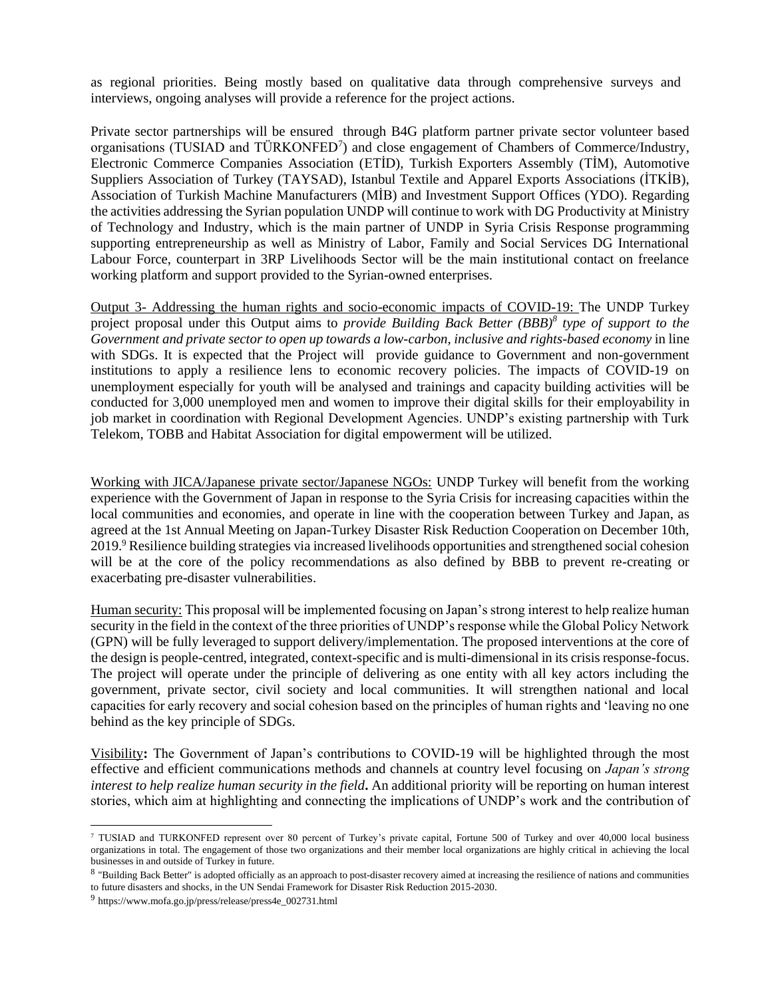as regional priorities. Being mostly based on qualitative data through comprehensive surveys and interviews, ongoing analyses will provide a reference for the project actions.

Private sector partnerships will be ensured through B4G platform partner private sector volunteer based organisations (TUSIAD and TÜRKONFED<sup>7</sup>) and close engagement of Chambers of Commerce/Industry, Electronic Commerce Companies Association (ETİD), Turkish Exporters Assembly (TİM), Automotive Suppliers Association of Turkey (TAYSAD), Istanbul Textile and Apparel Exports Associations (İTKİB), Association of Turkish Machine Manufacturers (MİB) and Investment Support Offices (YDO). Regarding the activities addressing the Syrian population UNDP will continue to work with DG Productivity at Ministry of Technology and Industry, which is the main partner of UNDP in Syria Crisis Response programming supporting entrepreneurship as well as Ministry of Labor, Family and Social Services DG International Labour Force, counterpart in 3RP Livelihoods Sector will be the main institutional contact on freelance working platform and support provided to the Syrian-owned enterprises.

Output 3- Addressing the human rights and socio-economic impacts of COVID-19: The UNDP Turkey project proposal under this Output aims to *provide Building Back Better (BBB)<sup>8</sup> type of support to the Government and private sector to open up towards a low-carbon, inclusive and rights-based economy* in line with SDGs. It is expected that the Project will provide guidance to Government and non-government institutions to apply a resilience lens to economic recovery policies. The impacts of COVID-19 on unemployment especially for youth will be analysed and trainings and capacity building activities will be conducted for 3,000 unemployed men and women to improve their digital skills for their employability in job market in coordination with Regional Development Agencies. UNDP's existing partnership with Turk Telekom, TOBB and Habitat Association for digital empowerment will be utilized.

Working with JICA/Japanese private sector/Japanese NGOs: UNDP Turkey will benefit from the working experience with the Government of Japan in response to the Syria Crisis for increasing capacities within the local communities and economies, and operate in line with the cooperation between Turkey and Japan, as agreed at the 1st Annual Meeting on Japan-Turkey Disaster Risk Reduction Cooperation on December 10th, 2019.<sup>9</sup> Resilience building strategies via increased livelihoods opportunities and strengthened social cohesion will be at the core of the policy recommendations as also defined by BBB to prevent re-creating or exacerbating pre-disaster vulnerabilities.

Human security: This proposal will be implemented focusing on Japan's strong interest to help realize human security in the field in the context of the three priorities of UNDP's response while the Global Policy Network (GPN) will be fully leveraged to support delivery/implementation. The proposed interventions at the core of the design is people-centred, integrated, context-specific and is multi-dimensional in its crisis response-focus. The project will operate under the principle of delivering as one entity with all key actors including the government, private sector, civil society and local communities. It will strengthen national and local capacities for early recovery and social cohesion based on the principles of human rights and 'leaving no one behind as the key principle of SDGs.

Visibility**:** The Government of Japan's contributions to COVID-19 will be highlighted through the most effective and efficient communications methods and channels at country level focusing on *Japan's strong interest to help realize human security in the field***.** An additional priority will be reporting on human interest stories, which aim at highlighting and connecting the implications of UNDP's work and the contribution of

<sup>7</sup> TUSIAD and TURKONFED represent over 80 percent of Turkey's private capital, Fortune 500 of Turkey and over 40,000 local business organizations in total. The engagement of those two organizations and their member local organizations are highly critical in achieving the local businesses in and outside of Turkey in future.

<sup>&</sup>lt;sup>8</sup> "Building Back Better" is adopted officially as an approach to post-disaster recovery aimed at increasing the resilience of nations and communities to future disasters and shocks, in the UN Sendai Framework for Disaster Risk Reduction 2015-2030.

<sup>&</sup>lt;sup>9</sup> https://www.mofa.go.jp/press/release/press4e\_002731.html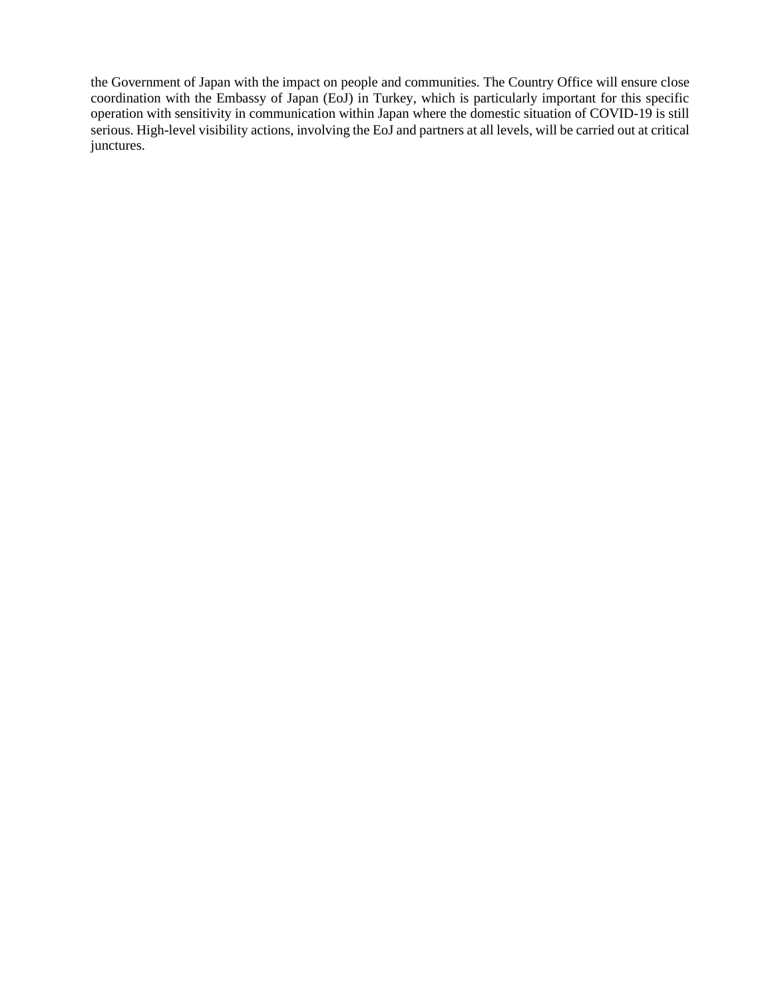the Government of Japan with the impact on people and communities. The Country Office will ensure close coordination with the Embassy of Japan (EoJ) in Turkey, which is particularly important for this specific operation with sensitivity in communication within Japan where the domestic situation of COVID-19 is still serious. High-level visibility actions, involving the EoJ and partners at all levels, will be carried out at critical junctures.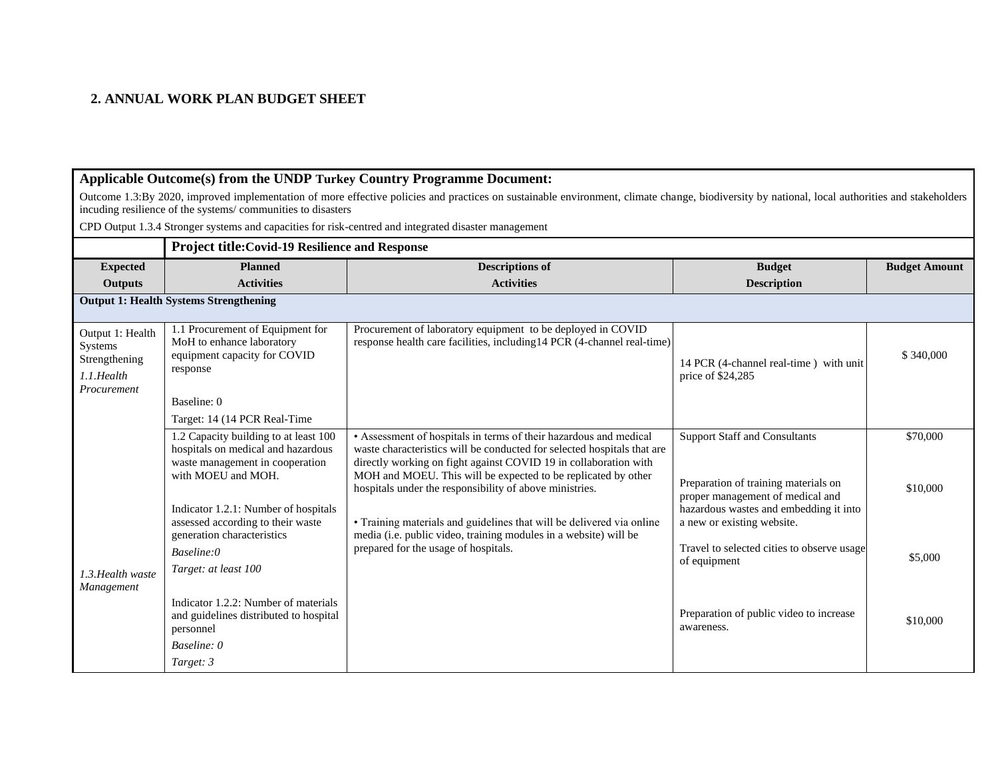## **2. ANNUAL WORK PLAN BUDGET SHEET**

## **Applicable Outcome(s) from the UNDP Turkey Country Programme Document:**

Outcome 1.3:By 2020, improved implementation of more effective policies and practices on sustainable environment, climate change, biodiversity by national, local authorities and stakeholders incuding resilience of the systems/ communities to disasters

CPD Output 1.3.4 Stronger systems and capacities for risk-centred and integrated disaster management

|                                                                           | <b>Project title: Covid-19 Resilience and Response</b>                                                                                                                                                            |                                                                                                                                                                                                                                                                                                                                                                                                                                                                                                                                                                 |                                                                                                                                                                                          |                      |  |  |
|---------------------------------------------------------------------------|-------------------------------------------------------------------------------------------------------------------------------------------------------------------------------------------------------------------|-----------------------------------------------------------------------------------------------------------------------------------------------------------------------------------------------------------------------------------------------------------------------------------------------------------------------------------------------------------------------------------------------------------------------------------------------------------------------------------------------------------------------------------------------------------------|------------------------------------------------------------------------------------------------------------------------------------------------------------------------------------------|----------------------|--|--|
| <b>Expected</b>                                                           | <b>Planned</b>                                                                                                                                                                                                    | <b>Descriptions of</b>                                                                                                                                                                                                                                                                                                                                                                                                                                                                                                                                          | <b>Budget</b>                                                                                                                                                                            | <b>Budget Amount</b> |  |  |
| <b>Outputs</b>                                                            | <b>Activities</b>                                                                                                                                                                                                 | <b>Activities</b>                                                                                                                                                                                                                                                                                                                                                                                                                                                                                                                                               | <b>Description</b>                                                                                                                                                                       |                      |  |  |
|                                                                           | <b>Output 1: Health Systems Strengthening</b>                                                                                                                                                                     |                                                                                                                                                                                                                                                                                                                                                                                                                                                                                                                                                                 |                                                                                                                                                                                          |                      |  |  |
| Output 1: Health<br>Systems<br>Strengthening<br>1.1.Health<br>Procurement | 1.1 Procurement of Equipment for<br>MoH to enhance laboratory<br>equipment capacity for COVID<br>response                                                                                                         | Procurement of laboratory equipment to be deployed in COVID<br>response health care facilities, including 14 PCR (4-channel real-time)                                                                                                                                                                                                                                                                                                                                                                                                                          | 14 PCR (4-channel real-time) with unit<br>price of \$24,285                                                                                                                              | \$340,000            |  |  |
|                                                                           | Baseline: 0<br>Target: 14 (14 PCR Real-Time                                                                                                                                                                       |                                                                                                                                                                                                                                                                                                                                                                                                                                                                                                                                                                 |                                                                                                                                                                                          |                      |  |  |
| 1.3. Health waste<br>Management                                           | 1.2 Capacity building to at least 100<br>hospitals on medical and hazardous<br>waste management in cooperation<br>with MOEU and MOH.<br>Indicator 1.2.1: Number of hospitals<br>assessed according to their waste | • Assessment of hospitals in terms of their hazardous and medical<br>waste characteristics will be conducted for selected hospitals that are<br>directly working on fight against COVID 19 in collaboration with<br>MOH and MOEU. This will be expected to be replicated by other<br>hospitals under the responsibility of above ministries.<br>• Training materials and guidelines that will be delivered via online<br>media (i.e. public video, training modules in a website) will be<br>generation characteristics<br>prepared for the usage of hospitals. | <b>Support Staff and Consultants</b><br>Preparation of training materials on<br>proper management of medical and<br>hazardous wastes and embedding it into<br>a new or existing website. | \$70,000<br>\$10,000 |  |  |
|                                                                           | Baseline:0<br>Target: at least 100                                                                                                                                                                                |                                                                                                                                                                                                                                                                                                                                                                                                                                                                                                                                                                 | Travel to selected cities to observe usage<br>of equipment                                                                                                                               | \$5,000              |  |  |
|                                                                           | Indicator 1.2.2: Number of materials<br>and guidelines distributed to hospital<br>personnel<br>Baseline: 0<br>Target: 3                                                                                           |                                                                                                                                                                                                                                                                                                                                                                                                                                                                                                                                                                 | Preparation of public video to increase<br>awareness.                                                                                                                                    | \$10,000             |  |  |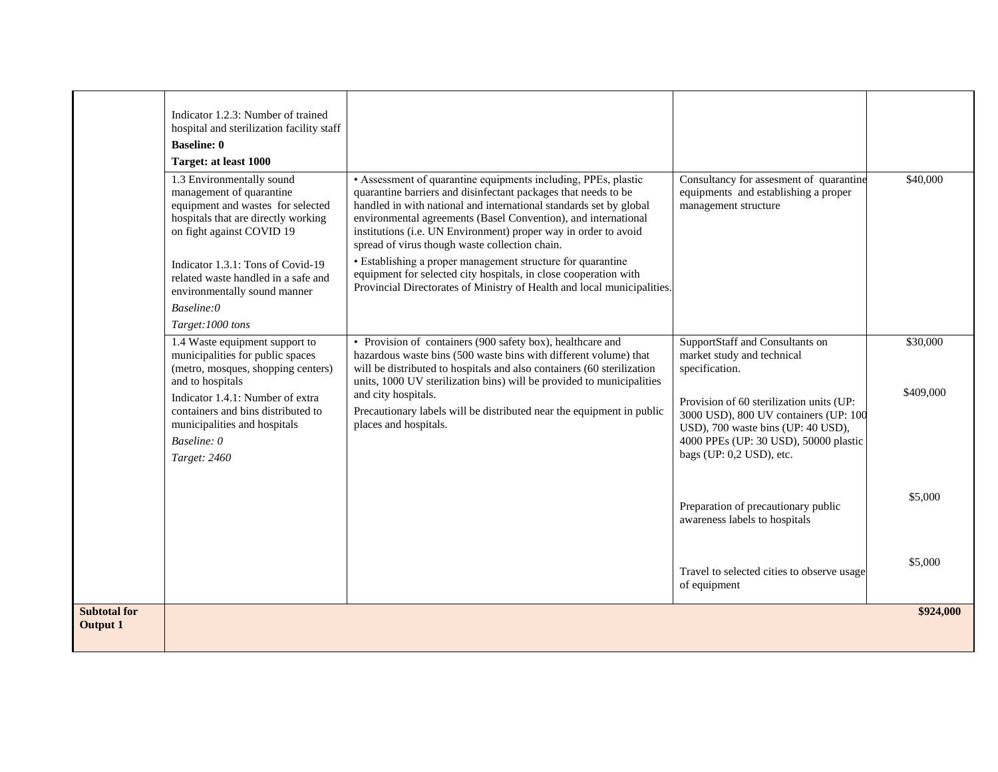|                                        | Indicator 1.2.3: Number of trained<br>hospital and sterilization facility staff<br><b>Baseline: 0</b><br>Target: at least 1000<br>1.3 Environmentally sound<br>management of quarantine<br>equipment and wastes for selected<br>hospitals that are directly working<br>on fight against COVID 19<br>Indicator 1.3.1: Tons of Covid-19<br>related waste handled in a safe and<br>environmentally sound manner | • Assessment of quarantine equipments including, PPEs, plastic<br>quarantine barriers and disinfectant packages that needs to be<br>handled in with national and international standards set by global<br>environmental agreements (Basel Convention), and international<br>institutions (i.e. UN Environment) proper way in order to avoid<br>spread of virus though waste collection chain.<br>• Establishing a proper management structure for quarantine<br>equipment for selected city hospitals, in close cooperation with<br>Provincial Directorates of Ministry of Health and local municipalities. | Consultancy for assesment of quarantine<br>equipments and establishing a proper<br>management structure                                                                                                                                                                         | \$40,000              |
|----------------------------------------|--------------------------------------------------------------------------------------------------------------------------------------------------------------------------------------------------------------------------------------------------------------------------------------------------------------------------------------------------------------------------------------------------------------|-------------------------------------------------------------------------------------------------------------------------------------------------------------------------------------------------------------------------------------------------------------------------------------------------------------------------------------------------------------------------------------------------------------------------------------------------------------------------------------------------------------------------------------------------------------------------------------------------------------|---------------------------------------------------------------------------------------------------------------------------------------------------------------------------------------------------------------------------------------------------------------------------------|-----------------------|
|                                        | Baseline:0<br>Target:1000 tons<br>1.4 Waste equipment support to<br>municipalities for public spaces<br>(metro, mosques, shopping centers)<br>and to hospitals<br>Indicator 1.4.1: Number of extra<br>containers and bins distributed to<br>municipalities and hospitals<br>Baseline: 0<br>Target: 2460                                                                                                      | • Provision of containers (900 safety box), healthcare and<br>hazardous waste bins (500 waste bins with different volume) that<br>will be distributed to hospitals and also containers (60 sterilization<br>units, 1000 UV sterilization bins) will be provided to municipalities<br>and city hospitals.<br>Precautionary labels will be distributed near the equipment in public<br>places and hospitals.                                                                                                                                                                                                  | SupportStaff and Consultants on<br>market study and technical<br>specification.<br>Provision of 60 sterilization units (UP:<br>3000 USD), 800 UV containers (UP: 100<br>USD), 700 waste bins (UP: 40 USD),<br>4000 PPEs (UP: 30 USD), 50000 plastic<br>bags (UP: 0,2 USD), etc. | \$30,000<br>\$409,000 |
|                                        |                                                                                                                                                                                                                                                                                                                                                                                                              |                                                                                                                                                                                                                                                                                                                                                                                                                                                                                                                                                                                                             | Preparation of precautionary public<br>awareness labels to hospitals                                                                                                                                                                                                            | \$5,000               |
|                                        |                                                                                                                                                                                                                                                                                                                                                                                                              |                                                                                                                                                                                                                                                                                                                                                                                                                                                                                                                                                                                                             | Travel to selected cities to observe usage<br>of equipment                                                                                                                                                                                                                      | \$5,000               |
| <b>Subtotal for</b><br><b>Output 1</b> |                                                                                                                                                                                                                                                                                                                                                                                                              |                                                                                                                                                                                                                                                                                                                                                                                                                                                                                                                                                                                                             |                                                                                                                                                                                                                                                                                 | \$924,000             |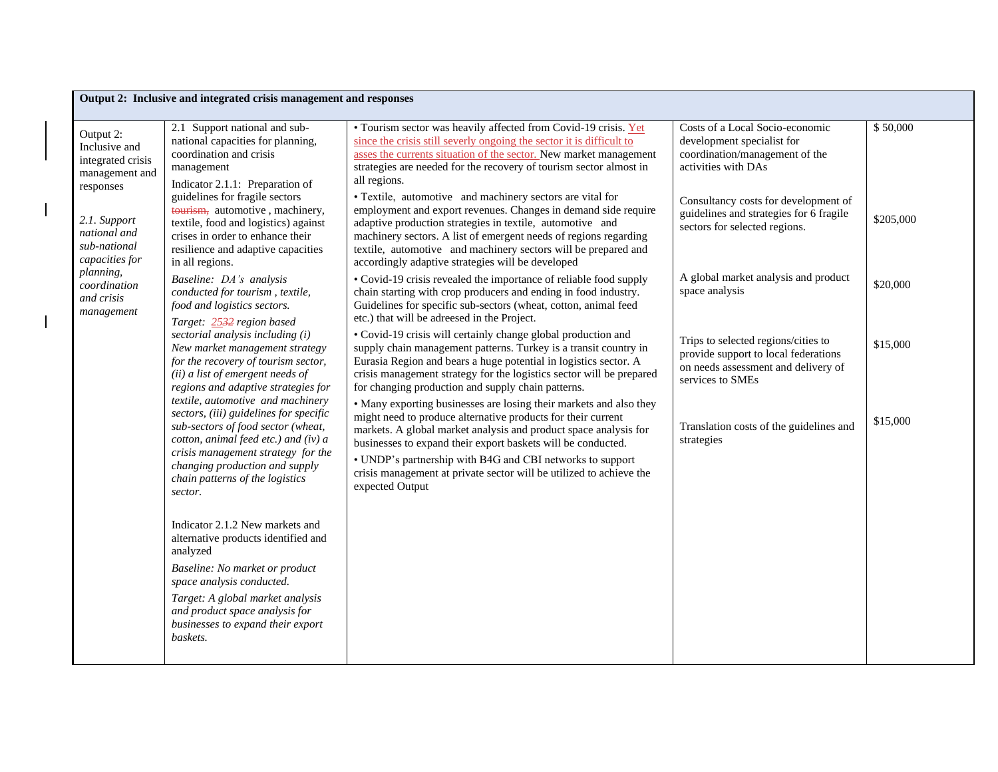|                                                                                                                                                                                                           | Output 2: Inclusive and integrated crisis management and responses                                                                                                                                                                                                                                                                                                                                                                                                                                                                                                                                                                                                                                                                                                                                          |                                                                                                                                                                                                                                                                                                                                                                                                                               |                                                                                                                                        |           |  |  |
|-----------------------------------------------------------------------------------------------------------------------------------------------------------------------------------------------------------|-------------------------------------------------------------------------------------------------------------------------------------------------------------------------------------------------------------------------------------------------------------------------------------------------------------------------------------------------------------------------------------------------------------------------------------------------------------------------------------------------------------------------------------------------------------------------------------------------------------------------------------------------------------------------------------------------------------------------------------------------------------------------------------------------------------|-------------------------------------------------------------------------------------------------------------------------------------------------------------------------------------------------------------------------------------------------------------------------------------------------------------------------------------------------------------------------------------------------------------------------------|----------------------------------------------------------------------------------------------------------------------------------------|-----------|--|--|
| Output 2:<br>Inclusive and<br>integrated crisis<br>management and<br>responses<br>2.1. Support<br>national and<br>sub-national<br>capacities for<br>planning,<br>coordination<br>and crisis<br>management | 2.1 Support national and sub-<br>national capacities for planning,<br>coordination and crisis<br>management<br>Indicator 2.1.1: Preparation of                                                                                                                                                                                                                                                                                                                                                                                                                                                                                                                                                                                                                                                              | • Tourism sector was heavily affected from Covid-19 crisis. Yet<br>since the crisis still severly ongoing the sector it is difficult to<br>asses the currents situation of the sector. New market management<br>strategies are needed for the recovery of tourism sector almost in<br>all regions.                                                                                                                            | Costs of a Local Socio-economic<br>development specialist for<br>coordination/management of the<br>activities with DAs                 | \$50,000  |  |  |
|                                                                                                                                                                                                           | guidelines for fragile sectors<br>tourism, automotive, machinery,<br>textile, food and logistics) against<br>crises in order to enhance their<br>resilience and adaptive capacities<br>in all regions.<br>Baseline: DA's analysis<br>conducted for tourism, textile,<br>food and logistics sectors.<br>Target: 2532 region based<br>sectorial analysis including (i)<br>New market management strategy<br>for the recovery of tourism sector,<br>(ii) a list of emergent needs of<br>regions and adaptive strategies for<br>textile, automotive and machinery<br>sectors, (iii) guidelines for specific<br>sub-sectors of food sector (wheat,<br>cotton, animal feed etc.) and (iv) a<br>crisis management strategy for the<br>changing production and supply<br>chain patterns of the logistics<br>sector. | • Textile, automotive and machinery sectors are vital for<br>employment and export revenues. Changes in demand side require<br>adaptive production strategies in textile, automotive and<br>machinery sectors. A list of emergent needs of regions regarding<br>textile, automotive and machinery sectors will be prepared and<br>accordingly adaptive strategies will be developed                                           | Consultancy costs for development of<br>guidelines and strategies for 6 fragile<br>sectors for selected regions.                       | \$205,000 |  |  |
|                                                                                                                                                                                                           |                                                                                                                                                                                                                                                                                                                                                                                                                                                                                                                                                                                                                                                                                                                                                                                                             | • Covid-19 crisis revealed the importance of reliable food supply<br>chain starting with crop producers and ending in food industry.<br>Guidelines for specific sub-sectors (wheat, cotton, animal feed<br>etc.) that will be adreesed in the Project.                                                                                                                                                                        | A global market analysis and product<br>space analysis                                                                                 | \$20,000  |  |  |
|                                                                                                                                                                                                           |                                                                                                                                                                                                                                                                                                                                                                                                                                                                                                                                                                                                                                                                                                                                                                                                             | • Covid-19 crisis will certainly change global production and<br>supply chain management patterns. Turkey is a transit country in<br>Eurasia Region and bears a huge potential in logistics sector. A<br>crisis management strategy for the logistics sector will be prepared<br>for changing production and supply chain patterns.                                                                                           | Trips to selected regions/cities to<br>provide support to local federations<br>on needs assessment and delivery of<br>services to SMEs | \$15,000  |  |  |
|                                                                                                                                                                                                           |                                                                                                                                                                                                                                                                                                                                                                                                                                                                                                                                                                                                                                                                                                                                                                                                             | • Many exporting businesses are losing their markets and also they<br>might need to produce alternative products for their current<br>markets. A global market analysis and product space analysis for<br>businesses to expand their export baskets will be conducted.<br>• UNDP's partnership with B4G and CBI networks to support<br>crisis management at private sector will be utilized to achieve the<br>expected Output | Translation costs of the guidelines and<br>strategies                                                                                  | \$15,000  |  |  |
|                                                                                                                                                                                                           | Indicator 2.1.2 New markets and<br>alternative products identified and<br>analyzed                                                                                                                                                                                                                                                                                                                                                                                                                                                                                                                                                                                                                                                                                                                          |                                                                                                                                                                                                                                                                                                                                                                                                                               |                                                                                                                                        |           |  |  |
|                                                                                                                                                                                                           | Baseline: No market or product<br>space analysis conducted.<br>Target: A global market analysis<br>and product space analysis for<br>businesses to expand their export<br>baskets.                                                                                                                                                                                                                                                                                                                                                                                                                                                                                                                                                                                                                          |                                                                                                                                                                                                                                                                                                                                                                                                                               |                                                                                                                                        |           |  |  |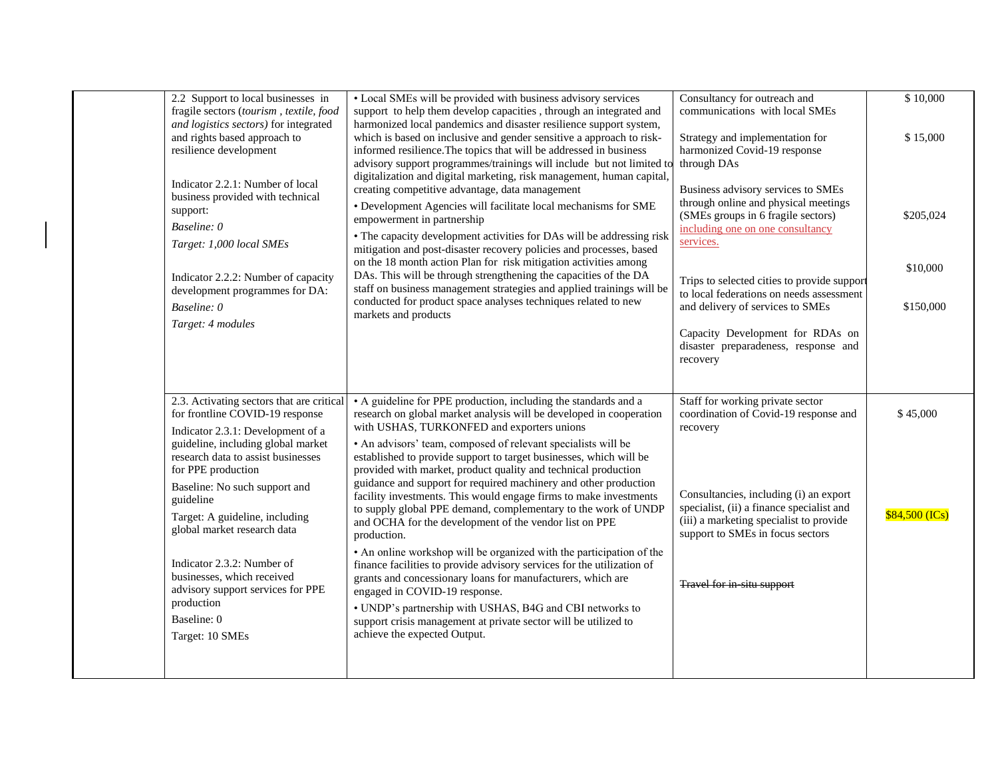| 2.2 Support to local businesses in<br>fragile sectors (tourism, textile, food<br>and logistics sectors) for integrated                                                                                                                   | • Local SMEs will be provided with business advisory services<br>support to help them develop capacities, through an integrated and<br>harmonized local pandemics and disaster resilience support system,                                                                                                                                                                                                                                                                                                                                                                                                                                                                            | Consultancy for outreach and<br>communications with local SMEs                                                                                                                                                                                                                                                                       | \$10,000                           |
|------------------------------------------------------------------------------------------------------------------------------------------------------------------------------------------------------------------------------------------|--------------------------------------------------------------------------------------------------------------------------------------------------------------------------------------------------------------------------------------------------------------------------------------------------------------------------------------------------------------------------------------------------------------------------------------------------------------------------------------------------------------------------------------------------------------------------------------------------------------------------------------------------------------------------------------|--------------------------------------------------------------------------------------------------------------------------------------------------------------------------------------------------------------------------------------------------------------------------------------------------------------------------------------|------------------------------------|
| and rights based approach to<br>resilience development                                                                                                                                                                                   | which is based on inclusive and gender sensitive a approach to risk-<br>informed resilience. The topics that will be addressed in business<br>advisory support programmes/trainings will include but not limited to                                                                                                                                                                                                                                                                                                                                                                                                                                                                  | Strategy and implementation for<br>harmonized Covid-19 response<br>through DAs                                                                                                                                                                                                                                                       | \$15,000                           |
| Indicator 2.2.1: Number of local<br>business provided with technical<br>support:<br>Baseline: 0<br>Target: 1,000 local SMEs<br>Indicator 2.2.2: Number of capacity<br>development programmes for DA:<br>Baseline: 0<br>Target: 4 modules | digitalization and digital marketing, risk management, human capital,<br>creating competitive advantage, data management<br>• Development Agencies will facilitate local mechanisms for SME<br>empowerment in partnership<br>• The capacity development activities for DAs will be addressing risk<br>mitigation and post-disaster recovery policies and processes, based<br>on the 18 month action Plan for risk mitigation activities among<br>DAs. This will be through strengthening the capacities of the DA<br>staff on business management strategies and applied trainings will be<br>conducted for product space analyses techniques related to new<br>markets and products | Business advisory services to SMEs<br>through online and physical meetings<br>(SMEs groups in 6 fragile sectors)<br>including one on one consultancy<br>services.<br>Trips to selected cities to provide support<br>to local federations on needs assessment<br>and delivery of services to SMEs<br>Capacity Development for RDAs on | \$205,024<br>\$10,000<br>\$150,000 |
|                                                                                                                                                                                                                                          |                                                                                                                                                                                                                                                                                                                                                                                                                                                                                                                                                                                                                                                                                      | disaster preparadeness, response and<br>recovery                                                                                                                                                                                                                                                                                     |                                    |
| 2.3. Activating sectors that are critical<br>for frontline COVID-19 response<br>Indicator 2.3.1: Development of a<br>guideline, including global market<br>research data to assist businesses                                            | • A guideline for PPE production, including the standards and a<br>research on global market analysis will be developed in cooperation<br>with USHAS, TURKONFED and exporters unions<br>• An advisors' team, composed of relevant specialists will be<br>established to provide support to target businesses, which will be                                                                                                                                                                                                                                                                                                                                                          | Staff for working private sector<br>coordination of Covid-19 response and<br>recovery                                                                                                                                                                                                                                                | \$45,000                           |
| for PPE production<br>Baseline: No such support and<br>guideline<br>Target: A guideline, including<br>global market research data                                                                                                        | provided with market, product quality and technical production<br>guidance and support for required machinery and other production<br>facility investments. This would engage firms to make investments<br>to supply global PPE demand, complementary to the work of UNDP<br>and OCHA for the development of the vendor list on PPE<br>production.                                                                                                                                                                                                                                                                                                                                   | Consultancies, including (i) an export<br>specialist, (ii) a finance specialist and<br>(iii) a marketing specialist to provide<br>support to SMEs in focus sectors                                                                                                                                                                   | \$84,500 (ICs)                     |
| Indicator 2.3.2: Number of<br>businesses, which received<br>advisory support services for PPE                                                                                                                                            | • An online workshop will be organized with the participation of the<br>finance facilities to provide advisory services for the utilization of<br>grants and concessionary loans for manufacturers, which are<br>engaged in COVID-19 response.                                                                                                                                                                                                                                                                                                                                                                                                                                       | Travel for in-situ support                                                                                                                                                                                                                                                                                                           |                                    |
| production<br>Baseline: 0<br>Target: 10 SMEs                                                                                                                                                                                             | • UNDP's partnership with USHAS, B4G and CBI networks to<br>support crisis management at private sector will be utilized to<br>achieve the expected Output.                                                                                                                                                                                                                                                                                                                                                                                                                                                                                                                          |                                                                                                                                                                                                                                                                                                                                      |                                    |
|                                                                                                                                                                                                                                          |                                                                                                                                                                                                                                                                                                                                                                                                                                                                                                                                                                                                                                                                                      |                                                                                                                                                                                                                                                                                                                                      |                                    |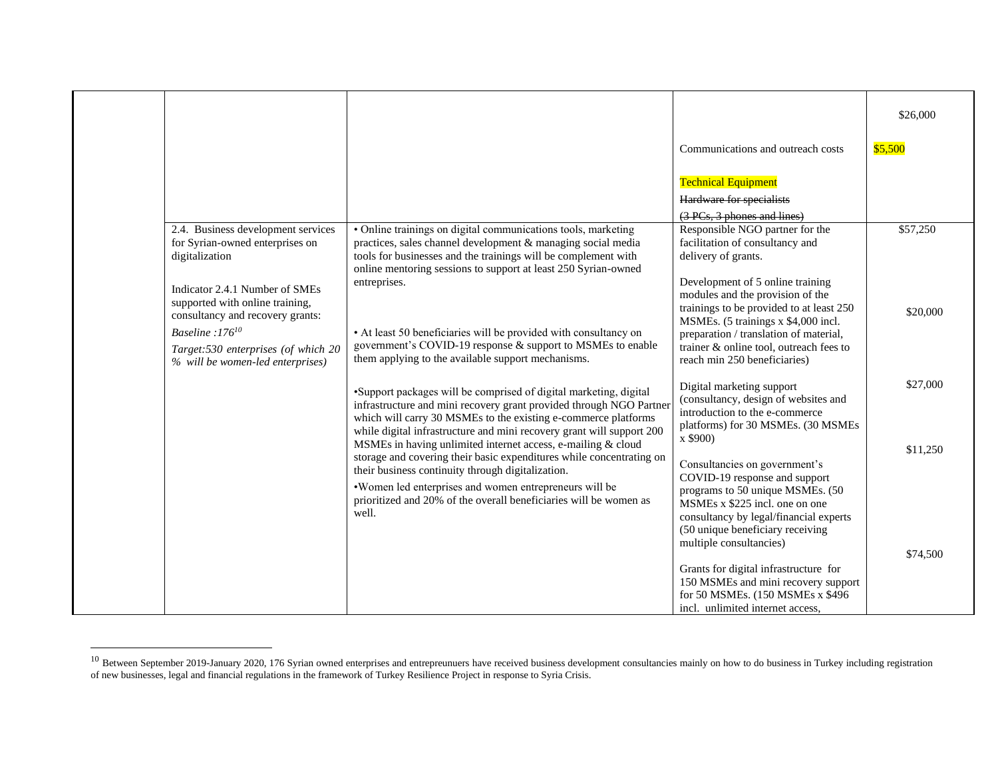|                                                                                                                                                                                                                |                                                                                                                                                                                                                                                                                                                                                                                                                                                                                  |                                                                                                                                                                                                                                                                                                                                     | \$26,000             |
|----------------------------------------------------------------------------------------------------------------------------------------------------------------------------------------------------------------|----------------------------------------------------------------------------------------------------------------------------------------------------------------------------------------------------------------------------------------------------------------------------------------------------------------------------------------------------------------------------------------------------------------------------------------------------------------------------------|-------------------------------------------------------------------------------------------------------------------------------------------------------------------------------------------------------------------------------------------------------------------------------------------------------------------------------------|----------------------|
|                                                                                                                                                                                                                |                                                                                                                                                                                                                                                                                                                                                                                                                                                                                  | Communications and outreach costs                                                                                                                                                                                                                                                                                                   | \$5,500              |
| 2.4. Business development services<br>for Syrian-owned enterprises on<br>digitalization                                                                                                                        | · Online trainings on digital communications tools, marketing<br>practices, sales channel development & managing social media<br>tools for businesses and the trainings will be complement with                                                                                                                                                                                                                                                                                  | <b>Technical Equipment</b><br>Hardware for specialists<br>(3 PCs, 3 phones and lines)<br>Responsible NGO partner for the<br>facilitation of consultancy and<br>delivery of grants.                                                                                                                                                  | \$57,250             |
| Indicator 2.4.1 Number of SMEs<br>supported with online training,<br>consultancy and recovery grants:<br>Baseline:176 <sup>10</sup><br>Target:530 enterprises (of which 20<br>% will be women-led enterprises) | online mentoring sessions to support at least 250 Syrian-owned<br>entreprises.<br>• At least 50 beneficiaries will be provided with consultancy on<br>government's COVID-19 response & support to MSMEs to enable<br>them applying to the available support mechanisms.                                                                                                                                                                                                          | Development of 5 online training<br>modules and the provision of the<br>trainings to be provided to at least 250<br>MSMEs. (5 trainings x \$4,000 incl.<br>preparation / translation of material,<br>trainer & online tool, outreach fees to<br>reach min 250 beneficiaries)                                                        | \$20,000             |
|                                                                                                                                                                                                                | •Support packages will be comprised of digital marketing, digital<br>infrastructure and mini recovery grant provided through NGO Partner<br>which will carry 30 MSMEs to the existing e-commerce platforms<br>while digital infrastructure and mini recovery grant will support 200<br>MSMEs in having unlimited internet access, e-mailing & cloud<br>storage and covering their basic expenditures while concentrating on<br>their business continuity through digitalization. | Digital marketing support<br>(consultancy, design of websites and<br>introduction to the e-commerce<br>platforms) for 30 MSMEs. (30 MSMEs<br>x \$900)<br>Consultancies on government's<br>COVID-19 response and support                                                                                                             | \$27,000<br>\$11,250 |
|                                                                                                                                                                                                                | •Women led enterprises and women entrepreneurs will be<br>prioritized and 20% of the overall beneficiaries will be women as<br>well.                                                                                                                                                                                                                                                                                                                                             | programs to 50 unique MSMEs. (50<br>MSMEs x \$225 incl. one on one<br>consultancy by legal/financial experts<br>(50 unique beneficiary receiving<br>multiple consultancies)<br>Grants for digital infrastructure for<br>150 MSMEs and mini recovery support<br>for 50 MSMEs. (150 MSMEs x \$496<br>incl. unlimited internet access, | \$74,500             |

<sup>&</sup>lt;sup>10</sup> Between September 2019-January 2020, 176 Syrian owned enterprises and entrepreunuers have received business development consultancies mainly on how to do business in Turkey including registration of new businesses, legal and financial regulations in the framework of Turkey Resilience Project in response to Syria Crisis.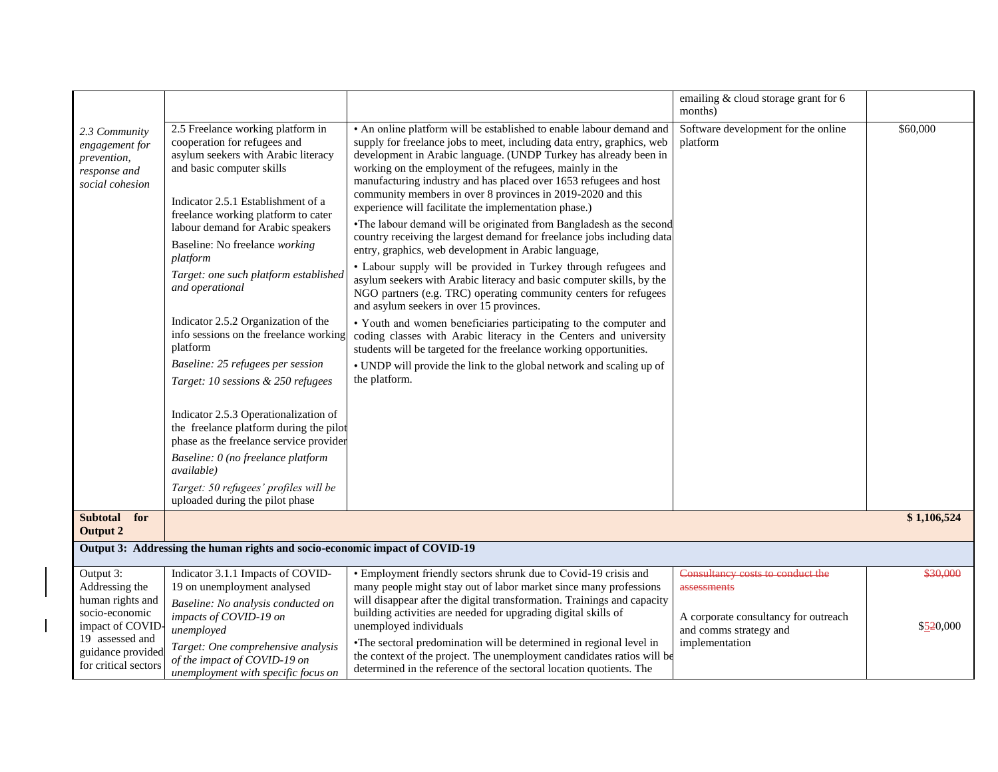| 2.5 Freelance working platform in                                                                                                                                                                                                                                                                                                                                                                                                                                                                                                                                                                                                                                                                                                                                   |                                                                                                                                                                                                                                                                                                                                                                                                                                                                                                                                                                                                                                                                                                                                                                                                                                                                                                                                                                                                                                                                                                                                                                                                                                                           |                                                                                                                                     |                       |  |
|---------------------------------------------------------------------------------------------------------------------------------------------------------------------------------------------------------------------------------------------------------------------------------------------------------------------------------------------------------------------------------------------------------------------------------------------------------------------------------------------------------------------------------------------------------------------------------------------------------------------------------------------------------------------------------------------------------------------------------------------------------------------|-----------------------------------------------------------------------------------------------------------------------------------------------------------------------------------------------------------------------------------------------------------------------------------------------------------------------------------------------------------------------------------------------------------------------------------------------------------------------------------------------------------------------------------------------------------------------------------------------------------------------------------------------------------------------------------------------------------------------------------------------------------------------------------------------------------------------------------------------------------------------------------------------------------------------------------------------------------------------------------------------------------------------------------------------------------------------------------------------------------------------------------------------------------------------------------------------------------------------------------------------------------|-------------------------------------------------------------------------------------------------------------------------------------|-----------------------|--|
| cooperation for refugees and<br>asylum seekers with Arabic literacy<br>and basic computer skills<br>Indicator 2.5.1 Establishment of a<br>freelance working platform to cater<br>labour demand for Arabic speakers<br>Baseline: No freelance working<br>platform<br>Target: one such platform established<br>and operational<br>Indicator 2.5.2 Organization of the<br>info sessions on the freelance working<br>platform<br>Baseline: 25 refugees per session<br>Target: 10 sessions & 250 refugees<br>Indicator 2.5.3 Operationalization of<br>the freelance platform during the pilot<br>phase as the freelance service provider<br>Baseline: 0 (no freelance platform<br>available)<br>Target: 50 refugees' profiles will be<br>uploaded during the pilot phase | • An online platform will be established to enable labour demand and<br>supply for freelance jobs to meet, including data entry, graphics, web<br>development in Arabic language. (UNDP Turkey has already been in<br>working on the employment of the refugees, mainly in the<br>manufacturing industry and has placed over 1653 refugees and host<br>community members in over 8 provinces in 2019-2020 and this<br>experience will facilitate the implementation phase.)<br>•The labour demand will be originated from Bangladesh as the second<br>country receiving the largest demand for freelance jobs including data<br>entry, graphics, web development in Arabic language,<br>• Labour supply will be provided in Turkey through refugees and<br>asylum seekers with Arabic literacy and basic computer skills, by the<br>NGO partners (e.g. TRC) operating community centers for refugees<br>and asylum seekers in over 15 provinces.<br>· Youth and women beneficiaries participating to the computer and<br>coding classes with Arabic literacy in the Centers and university<br>students will be targeted for the freelance working opportunities.<br>• UNDP will provide the link to the global network and scaling up of<br>the platform. | Software development for the online<br>platform                                                                                     | \$60,000              |  |
|                                                                                                                                                                                                                                                                                                                                                                                                                                                                                                                                                                                                                                                                                                                                                                     |                                                                                                                                                                                                                                                                                                                                                                                                                                                                                                                                                                                                                                                                                                                                                                                                                                                                                                                                                                                                                                                                                                                                                                                                                                                           |                                                                                                                                     | \$1,106,524           |  |
| Output 3: Addressing the human rights and socio-economic impact of COVID-19                                                                                                                                                                                                                                                                                                                                                                                                                                                                                                                                                                                                                                                                                         |                                                                                                                                                                                                                                                                                                                                                                                                                                                                                                                                                                                                                                                                                                                                                                                                                                                                                                                                                                                                                                                                                                                                                                                                                                                           |                                                                                                                                     |                       |  |
| Indicator 3.1.1 Impacts of COVID-<br>19 on unemployment analysed<br>Baseline: No analysis conducted on<br>impacts of COVID-19 on<br>unemployed<br>Target: One comprehensive analysis                                                                                                                                                                                                                                                                                                                                                                                                                                                                                                                                                                                | • Employment friendly sectors shrunk due to Covid-19 crisis and<br>many people might stay out of labor market since many professions<br>will disappear after the digital transformation. Trainings and capacity<br>building activities are needed for upgrading digital skills of<br>unemployed individuals<br>•The sectoral predomination will be determined in regional level in<br>the context of the project. The unemployment candidates ratios will be                                                                                                                                                                                                                                                                                                                                                                                                                                                                                                                                                                                                                                                                                                                                                                                              | Consultancy costs to conduct the<br>assessments<br>A corporate consultancy for outreach<br>and comms strategy and<br>implementation | \$30,000<br>\$520,000 |  |
|                                                                                                                                                                                                                                                                                                                                                                                                                                                                                                                                                                                                                                                                                                                                                                     | of the impact of COVID-19 on<br>unemployment with specific focus on                                                                                                                                                                                                                                                                                                                                                                                                                                                                                                                                                                                                                                                                                                                                                                                                                                                                                                                                                                                                                                                                                                                                                                                       | determined in the reference of the sectoral location quotients. The                                                                 |                       |  |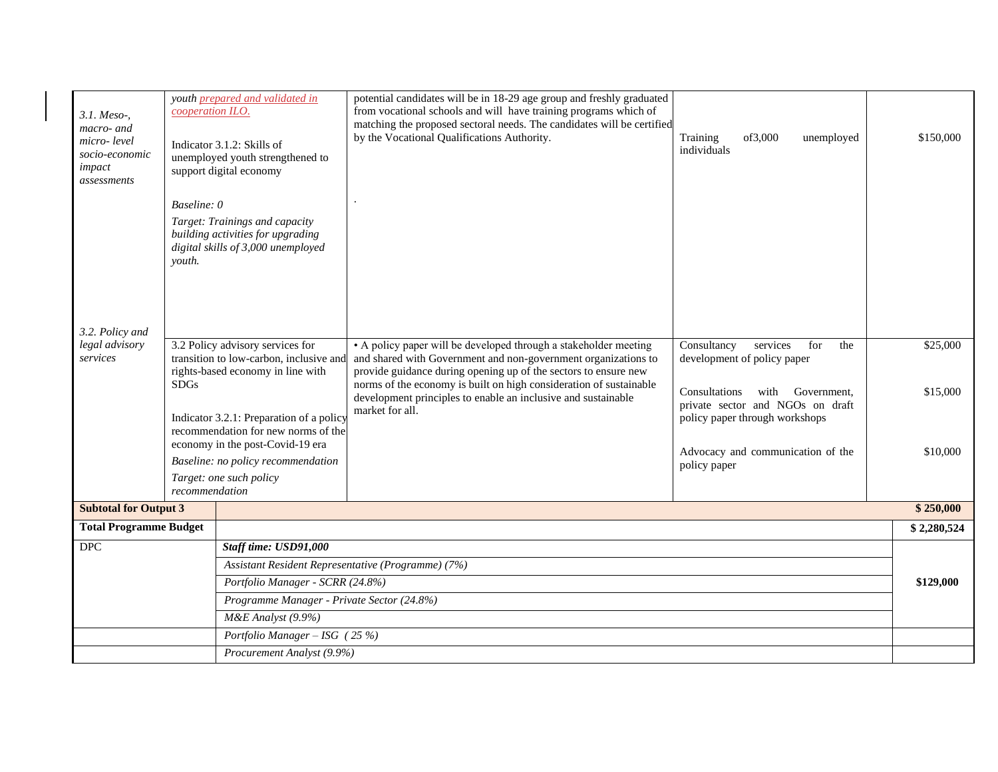| 3.1. Meso-,<br>macro- and<br>micro-level<br>socio-economic<br>impact<br>assessments | cooperation ILO.                                                                                                                | youth prepared and validated in<br>Indicator 3.1.2: Skills of<br>unemployed youth strengthened to<br>support digital economy                              | potential candidates will be in 18-29 age group and freshly graduated<br>from vocational schools and will have training programs which of<br>matching the proposed sectoral needs. The candidates will be certified<br>by the Vocational Qualifications Authority.                                                                                              | of3,000<br>Training<br>unemployed<br>individuals                                                                                              | \$150,000                |
|-------------------------------------------------------------------------------------|---------------------------------------------------------------------------------------------------------------------------------|-----------------------------------------------------------------------------------------------------------------------------------------------------------|-----------------------------------------------------------------------------------------------------------------------------------------------------------------------------------------------------------------------------------------------------------------------------------------------------------------------------------------------------------------|-----------------------------------------------------------------------------------------------------------------------------------------------|--------------------------|
|                                                                                     | Baseline: 0                                                                                                                     |                                                                                                                                                           |                                                                                                                                                                                                                                                                                                                                                                 |                                                                                                                                               |                          |
|                                                                                     | Target: Trainings and capacity<br>building activities for upgrading<br>digital skills of 3,000 unemployed<br>vouth.             |                                                                                                                                                           |                                                                                                                                                                                                                                                                                                                                                                 |                                                                                                                                               |                          |
| 3.2. Policy and                                                                     |                                                                                                                                 |                                                                                                                                                           |                                                                                                                                                                                                                                                                                                                                                                 |                                                                                                                                               |                          |
| legal advisory<br>services                                                          | 3.2 Policy advisory services for<br>transition to low-carbon, inclusive and<br>rights-based economy in line with<br><b>SDGs</b> |                                                                                                                                                           | • A policy paper will be developed through a stakeholder meeting<br>and shared with Government and non-government organizations to<br>provide guidance during opening up of the sectors to ensure new<br>norms of the economy is built on high consideration of sustainable<br>development principles to enable an inclusive and sustainable<br>market for all. | Consultancy<br>services<br>for<br>the<br>development of policy paper<br>Consultations<br>with Government.<br>private sector and NGOs on draft | \$25,000<br>\$15,000     |
|                                                                                     |                                                                                                                                 | Indicator 3.2.1: Preparation of a policy<br>recommendation for new norms of the<br>economy in the post-Covid-19 era<br>Baseline: no policy recommendation |                                                                                                                                                                                                                                                                                                                                                                 | policy paper through workshops<br>Advocacy and communication of the<br>policy paper                                                           | \$10,000                 |
|                                                                                     |                                                                                                                                 | Target: one such policy                                                                                                                                   |                                                                                                                                                                                                                                                                                                                                                                 |                                                                                                                                               |                          |
|                                                                                     | recommendation                                                                                                                  |                                                                                                                                                           |                                                                                                                                                                                                                                                                                                                                                                 |                                                                                                                                               |                          |
| <b>Subtotal for Output 3</b><br><b>Total Programme Budget</b>                       |                                                                                                                                 |                                                                                                                                                           |                                                                                                                                                                                                                                                                                                                                                                 |                                                                                                                                               | \$250,000<br>\$2,280,524 |
| <b>DPC</b>                                                                          |                                                                                                                                 | Staff time: USD91,000                                                                                                                                     |                                                                                                                                                                                                                                                                                                                                                                 |                                                                                                                                               |                          |
|                                                                                     |                                                                                                                                 | Assistant Resident Representative (Programme) (7%)                                                                                                        |                                                                                                                                                                                                                                                                                                                                                                 |                                                                                                                                               |                          |
|                                                                                     |                                                                                                                                 | Portfolio Manager - SCRR (24.8%)                                                                                                                          |                                                                                                                                                                                                                                                                                                                                                                 |                                                                                                                                               |                          |
|                                                                                     |                                                                                                                                 | Programme Manager - Private Sector (24.8%)                                                                                                                |                                                                                                                                                                                                                                                                                                                                                                 |                                                                                                                                               |                          |
|                                                                                     |                                                                                                                                 | M&E Analyst (9.9%)                                                                                                                                        |                                                                                                                                                                                                                                                                                                                                                                 |                                                                                                                                               |                          |
|                                                                                     |                                                                                                                                 | Portfolio Manager - ISG (25 %)                                                                                                                            |                                                                                                                                                                                                                                                                                                                                                                 |                                                                                                                                               |                          |
|                                                                                     |                                                                                                                                 | Procurement Analyst (9.9%)                                                                                                                                |                                                                                                                                                                                                                                                                                                                                                                 |                                                                                                                                               |                          |